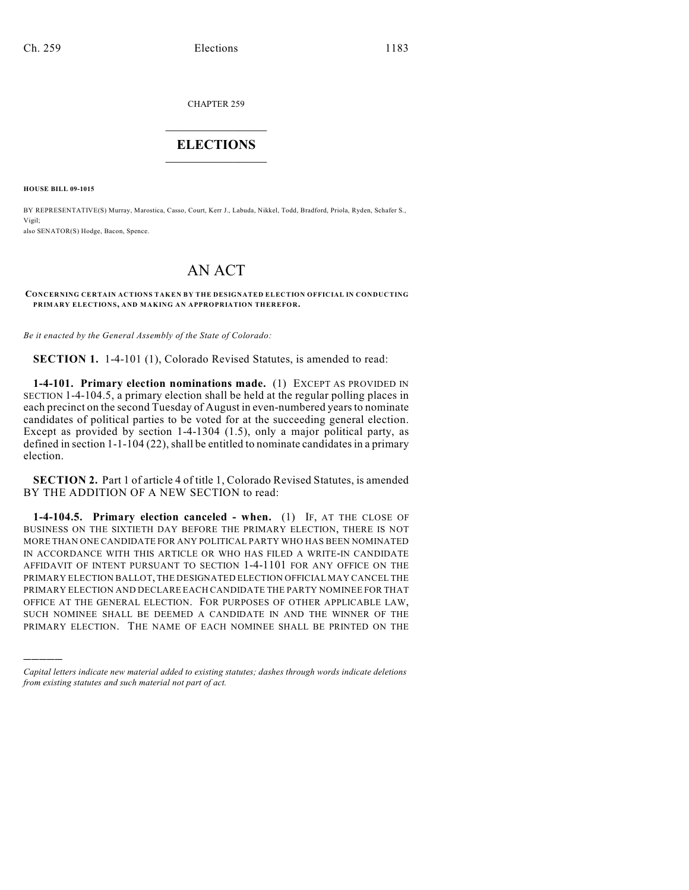CHAPTER 259

## $\mathcal{L}_\text{max}$  . The set of the set of the set of the set of the set of the set of the set of the set of the set of the set of the set of the set of the set of the set of the set of the set of the set of the set of the set **ELECTIONS**  $\_$

**HOUSE BILL 09-1015**

)))))

BY REPRESENTATIVE(S) Murray, Marostica, Casso, Court, Kerr J., Labuda, Nikkel, Todd, Bradford, Priola, Ryden, Schafer S., Vigil;

also SENATOR(S) Hodge, Bacon, Spence.

## AN ACT

## **CONCERNING CERTAIN ACTIONS TAKEN BY THE DESIGNATED ELECTION OFFICIAL IN CONDUCTING PRIMARY ELECTIONS, AND MAKING AN APPROPRIATION THEREFOR.**

*Be it enacted by the General Assembly of the State of Colorado:*

**SECTION 1.** 1-4-101 (1), Colorado Revised Statutes, is amended to read:

**1-4-101. Primary election nominations made.** (1) EXCEPT AS PROVIDED IN SECTION 1-4-104.5, a primary election shall be held at the regular polling places in each precinct on the second Tuesday of August in even-numbered years to nominate candidates of political parties to be voted for at the succeeding general election. Except as provided by section 1-4-1304 (1.5), only a major political party, as defined in section 1-1-104 (22), shall be entitled to nominate candidates in a primary election.

**SECTION 2.** Part 1 of article 4 of title 1, Colorado Revised Statutes, is amended BY THE ADDITION OF A NEW SECTION to read:

**1-4-104.5. Primary election canceled - when.** (1) IF, AT THE CLOSE OF BUSINESS ON THE SIXTIETH DAY BEFORE THE PRIMARY ELECTION, THERE IS NOT MORE THAN ONE CANDIDATE FOR ANY POLITICAL PARTY WHO HAS BEEN NOMINATED IN ACCORDANCE WITH THIS ARTICLE OR WHO HAS FILED A WRITE-IN CANDIDATE AFFIDAVIT OF INTENT PURSUANT TO SECTION 1-4-1101 FOR ANY OFFICE ON THE PRIMARY ELECTION BALLOT, THE DESIGNATED ELECTION OFFICIAL MAY CANCEL THE PRIMARY ELECTION AND DECLARE EACH CANDIDATE THE PARTY NOMINEE FOR THAT OFFICE AT THE GENERAL ELECTION. FOR PURPOSES OF OTHER APPLICABLE LAW, SUCH NOMINEE SHALL BE DEEMED A CANDIDATE IN AND THE WINNER OF THE PRIMARY ELECTION. THE NAME OF EACH NOMINEE SHALL BE PRINTED ON THE

*Capital letters indicate new material added to existing statutes; dashes through words indicate deletions from existing statutes and such material not part of act.*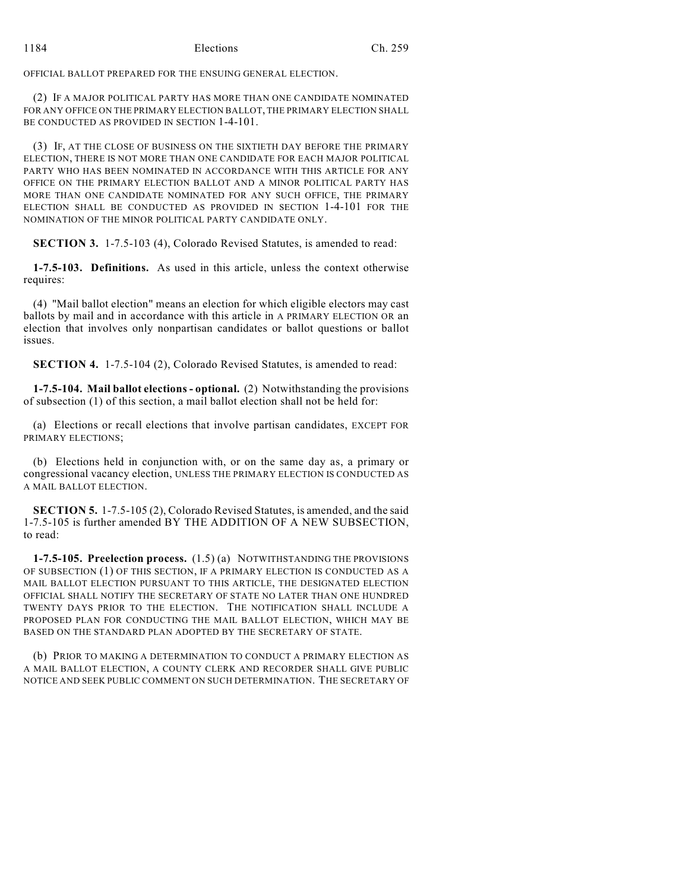OFFICIAL BALLOT PREPARED FOR THE ENSUING GENERAL ELECTION.

(2) IF A MAJOR POLITICAL PARTY HAS MORE THAN ONE CANDIDATE NOMINATED FOR ANY OFFICE ON THE PRIMARY ELECTION BALLOT, THE PRIMARY ELECTION SHALL BE CONDUCTED AS PROVIDED IN SECTION 1-4-101.

(3) IF, AT THE CLOSE OF BUSINESS ON THE SIXTIETH DAY BEFORE THE PRIMARY ELECTION, THERE IS NOT MORE THAN ONE CANDIDATE FOR EACH MAJOR POLITICAL PARTY WHO HAS BEEN NOMINATED IN ACCORDANCE WITH THIS ARTICLE FOR ANY OFFICE ON THE PRIMARY ELECTION BALLOT AND A MINOR POLITICAL PARTY HAS MORE THAN ONE CANDIDATE NOMINATED FOR ANY SUCH OFFICE, THE PRIMARY ELECTION SHALL BE CONDUCTED AS PROVIDED IN SECTION 1-4-101 FOR THE NOMINATION OF THE MINOR POLITICAL PARTY CANDIDATE ONLY.

**SECTION 3.** 1-7.5-103 (4), Colorado Revised Statutes, is amended to read:

**1-7.5-103. Definitions.** As used in this article, unless the context otherwise requires:

(4) "Mail ballot election" means an election for which eligible electors may cast ballots by mail and in accordance with this article in A PRIMARY ELECTION OR an election that involves only nonpartisan candidates or ballot questions or ballot issues.

**SECTION 4.** 1-7.5-104 (2), Colorado Revised Statutes, is amended to read:

**1-7.5-104. Mail ballot elections - optional.** (2) Notwithstanding the provisions of subsection (1) of this section, a mail ballot election shall not be held for:

(a) Elections or recall elections that involve partisan candidates, EXCEPT FOR PRIMARY ELECTIONS;

(b) Elections held in conjunction with, or on the same day as, a primary or congressional vacancy election, UNLESS THE PRIMARY ELECTION IS CONDUCTED AS A MAIL BALLOT ELECTION.

**SECTION 5.** 1-7.5-105 (2), Colorado Revised Statutes, is amended, and the said 1-7.5-105 is further amended BY THE ADDITION OF A NEW SUBSECTION, to read:

**1-7.5-105. Preelection process.** (1.5) (a) NOTWITHSTANDING THE PROVISIONS OF SUBSECTION (1) OF THIS SECTION, IF A PRIMARY ELECTION IS CONDUCTED AS A MAIL BALLOT ELECTION PURSUANT TO THIS ARTICLE, THE DESIGNATED ELECTION OFFICIAL SHALL NOTIFY THE SECRETARY OF STATE NO LATER THAN ONE HUNDRED TWENTY DAYS PRIOR TO THE ELECTION. THE NOTIFICATION SHALL INCLUDE A PROPOSED PLAN FOR CONDUCTING THE MAIL BALLOT ELECTION, WHICH MAY BE BASED ON THE STANDARD PLAN ADOPTED BY THE SECRETARY OF STATE.

(b) PRIOR TO MAKING A DETERMINATION TO CONDUCT A PRIMARY ELECTION AS A MAIL BALLOT ELECTION, A COUNTY CLERK AND RECORDER SHALL GIVE PUBLIC NOTICE AND SEEK PUBLIC COMMENT ON SUCH DETERMINATION. THE SECRETARY OF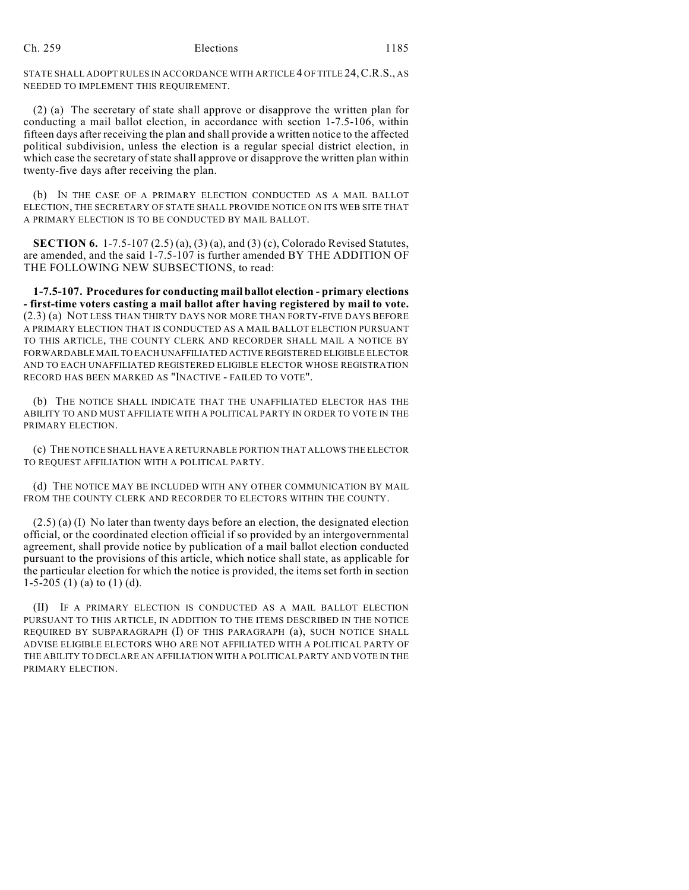STATE SHALL ADOPT RULES IN ACCORDANCE WITH ARTICLE 4 OF TITLE 24,C.R.S., AS NEEDED TO IMPLEMENT THIS REQUIREMENT.

(2) (a) The secretary of state shall approve or disapprove the written plan for conducting a mail ballot election, in accordance with section 1-7.5-106, within fifteen days after receiving the plan and shall provide a written notice to the affected political subdivision, unless the election is a regular special district election, in which case the secretary of state shall approve or disapprove the written plan within twenty-five days after receiving the plan.

(b) IN THE CASE OF A PRIMARY ELECTION CONDUCTED AS A MAIL BALLOT ELECTION, THE SECRETARY OF STATE SHALL PROVIDE NOTICE ON ITS WEB SITE THAT A PRIMARY ELECTION IS TO BE CONDUCTED BY MAIL BALLOT.

**SECTION 6.** 1-7.5-107 (2.5) (a), (3) (a), and (3) (c), Colorado Revised Statutes, are amended, and the said 1-7.5-107 is further amended BY THE ADDITION OF THE FOLLOWING NEW SUBSECTIONS, to read:

**1-7.5-107. Procedures for conducting mail ballot election - primary elections - first-time voters casting a mail ballot after having registered by mail to vote.** (2.3) (a) NOT LESS THAN THIRTY DAYS NOR MORE THAN FORTY-FIVE DAYS BEFORE A PRIMARY ELECTION THAT IS CONDUCTED AS A MAIL BALLOT ELECTION PURSUANT TO THIS ARTICLE, THE COUNTY CLERK AND RECORDER SHALL MAIL A NOTICE BY FORWARDABLE MAIL TO EACH UNAFFILIATED ACTIVE REGISTERED ELIGIBLE ELECTOR AND TO EACH UNAFFILIATED REGISTERED ELIGIBLE ELECTOR WHOSE REGISTRATION RECORD HAS BEEN MARKED AS "INACTIVE - FAILED TO VOTE".

(b) THE NOTICE SHALL INDICATE THAT THE UNAFFILIATED ELECTOR HAS THE ABILITY TO AND MUST AFFILIATE WITH A POLITICAL PARTY IN ORDER TO VOTE IN THE PRIMARY ELECTION.

(c) THE NOTICE SHALL HAVE A RETURNABLE PORTION THAT ALLOWS THE ELECTOR TO REQUEST AFFILIATION WITH A POLITICAL PARTY.

(d) THE NOTICE MAY BE INCLUDED WITH ANY OTHER COMMUNICATION BY MAIL FROM THE COUNTY CLERK AND RECORDER TO ELECTORS WITHIN THE COUNTY.

(2.5) (a) (I) No later than twenty days before an election, the designated election official, or the coordinated election official if so provided by an intergovernmental agreement, shall provide notice by publication of a mail ballot election conducted pursuant to the provisions of this article, which notice shall state, as applicable for the particular election for which the notice is provided, the items set forth in section 1-5-205 (1) (a) to (1) (d).

(II) IF A PRIMARY ELECTION IS CONDUCTED AS A MAIL BALLOT ELECTION PURSUANT TO THIS ARTICLE, IN ADDITION TO THE ITEMS DESCRIBED IN THE NOTICE REQUIRED BY SUBPARAGRAPH (I) OF THIS PARAGRAPH (a), SUCH NOTICE SHALL ADVISE ELIGIBLE ELECTORS WHO ARE NOT AFFILIATED WITH A POLITICAL PARTY OF THE ABILITY TO DECLARE AN AFFILIATION WITH A POLITICAL PARTY AND VOTE IN THE PRIMARY ELECTION.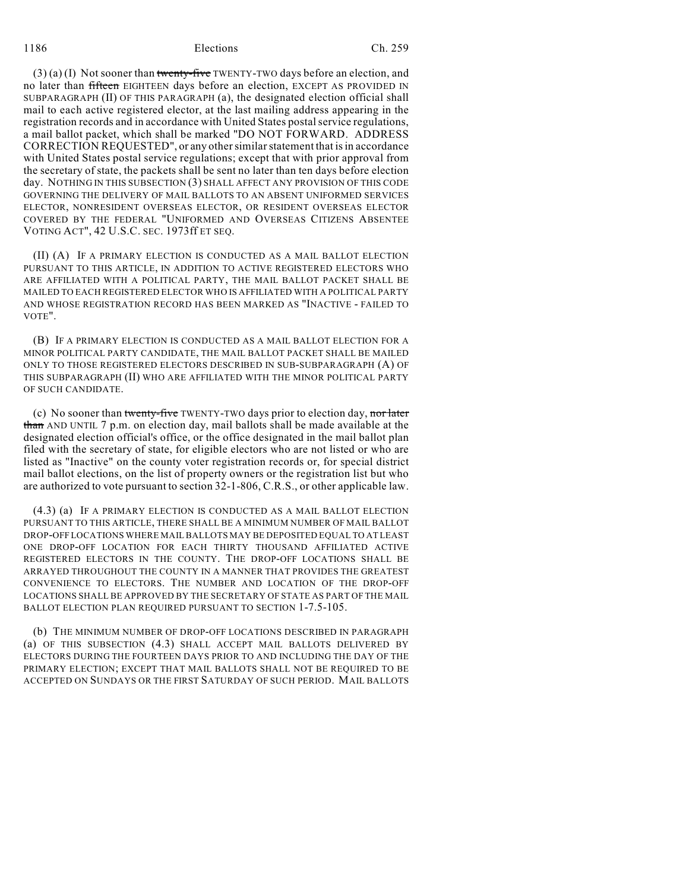1186 Elections Ch. 259

 $(3)$  (a) (I) Not sooner than twenty-five TWENTY-TWO days before an election, and no later than fifteen EIGHTEEN days before an election, EXCEPT AS PROVIDED IN SUBPARAGRAPH (II) OF THIS PARAGRAPH (a), the designated election official shall mail to each active registered elector, at the last mailing address appearing in the registration records and in accordance with United States postal service regulations, a mail ballot packet, which shall be marked "DO NOT FORWARD. ADDRESS CORRECTION REQUESTED", or any other similar statement that is in accordance with United States postal service regulations; except that with prior approval from the secretary of state, the packets shall be sent no later than ten days before election day. NOTHING IN THIS SUBSECTION (3) SHALL AFFECT ANY PROVISION OF THIS CODE GOVERNING THE DELIVERY OF MAIL BALLOTS TO AN ABSENT UNIFORMED SERVICES ELECTOR, NONRESIDENT OVERSEAS ELECTOR, OR RESIDENT OVERSEAS ELECTOR COVERED BY THE FEDERAL "UNIFORMED AND OVERSEAS CITIZENS ABSENTEE VOTING ACT", 42 U.S.C. SEC. 1973ff ET SEQ.

(II) (A) IF A PRIMARY ELECTION IS CONDUCTED AS A MAIL BALLOT ELECTION PURSUANT TO THIS ARTICLE, IN ADDITION TO ACTIVE REGISTERED ELECTORS WHO ARE AFFILIATED WITH A POLITICAL PARTY, THE MAIL BALLOT PACKET SHALL BE MAILED TO EACH REGISTERED ELECTOR WHO IS AFFILIATED WITH A POLITICAL PARTY AND WHOSE REGISTRATION RECORD HAS BEEN MARKED AS "INACTIVE - FAILED TO VOTE".

(B) IF A PRIMARY ELECTION IS CONDUCTED AS A MAIL BALLOT ELECTION FOR A MINOR POLITICAL PARTY CANDIDATE, THE MAIL BALLOT PACKET SHALL BE MAILED ONLY TO THOSE REGISTERED ELECTORS DESCRIBED IN SUB-SUBPARAGRAPH (A) OF THIS SUBPARAGRAPH (II) WHO ARE AFFILIATED WITH THE MINOR POLITICAL PARTY OF SUCH CANDIDATE.

(c) No sooner than twenty-five TWENTY-TWO days prior to election day, nor later than AND UNTIL 7 p.m. on election day, mail ballots shall be made available at the designated election official's office, or the office designated in the mail ballot plan filed with the secretary of state, for eligible electors who are not listed or who are listed as "Inactive" on the county voter registration records or, for special district mail ballot elections, on the list of property owners or the registration list but who are authorized to vote pursuant to section 32-1-806, C.R.S., or other applicable law.

(4.3) (a) IF A PRIMARY ELECTION IS CONDUCTED AS A MAIL BALLOT ELECTION PURSUANT TO THIS ARTICLE, THERE SHALL BE A MINIMUM NUMBER OF MAIL BALLOT DROP-OFF LOCATIONS WHERE MAIL BALLOTS MAY BE DEPOSITED EQUAL TO AT LEAST ONE DROP-OFF LOCATION FOR EACH THIRTY THOUSAND AFFILIATED ACTIVE REGISTERED ELECTORS IN THE COUNTY. THE DROP-OFF LOCATIONS SHALL BE ARRAYED THROUGHOUT THE COUNTY IN A MANNER THAT PROVIDES THE GREATEST CONVENIENCE TO ELECTORS. THE NUMBER AND LOCATION OF THE DROP-OFF LOCATIONS SHALL BE APPROVED BY THE SECRETARY OF STATE AS PART OF THE MAIL BALLOT ELECTION PLAN REQUIRED PURSUANT TO SECTION 1-7.5-105.

(b) THE MINIMUM NUMBER OF DROP-OFF LOCATIONS DESCRIBED IN PARAGRAPH (a) OF THIS SUBSECTION (4.3) SHALL ACCEPT MAIL BALLOTS DELIVERED BY ELECTORS DURING THE FOURTEEN DAYS PRIOR TO AND INCLUDING THE DAY OF THE PRIMARY ELECTION; EXCEPT THAT MAIL BALLOTS SHALL NOT BE REQUIRED TO BE ACCEPTED ON SUNDAYS OR THE FIRST SATURDAY OF SUCH PERIOD. MAIL BALLOTS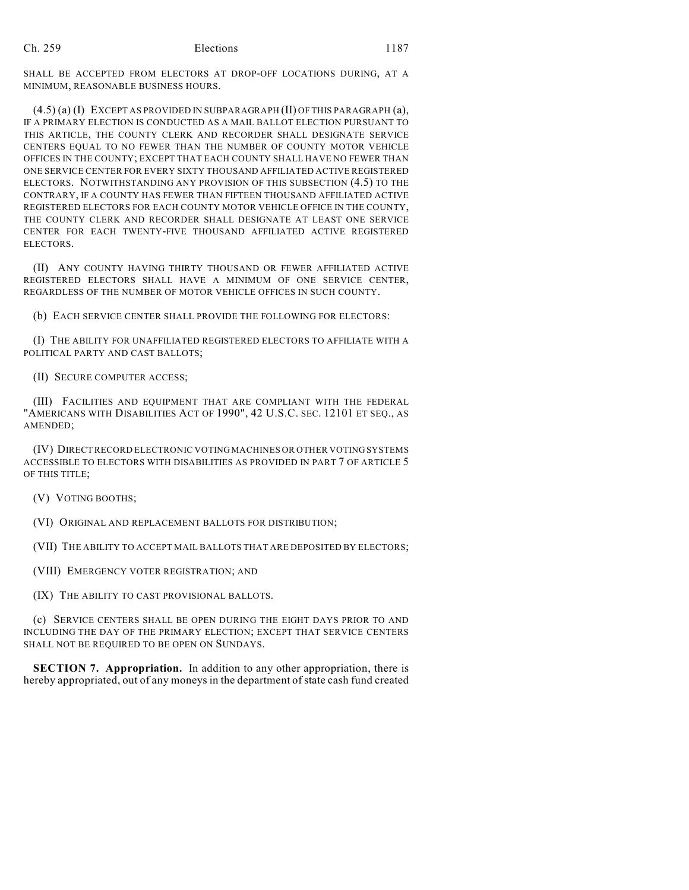SHALL BE ACCEPTED FROM ELECTORS AT DROP-OFF LOCATIONS DURING, AT A MINIMUM, REASONABLE BUSINESS HOURS.

(4.5) (a) (I) EXCEPT AS PROVIDED IN SUBPARAGRAPH (II) OF THIS PARAGRAPH (a), IF A PRIMARY ELECTION IS CONDUCTED AS A MAIL BALLOT ELECTION PURSUANT TO THIS ARTICLE, THE COUNTY CLERK AND RECORDER SHALL DESIGNATE SERVICE CENTERS EQUAL TO NO FEWER THAN THE NUMBER OF COUNTY MOTOR VEHICLE OFFICES IN THE COUNTY; EXCEPT THAT EACH COUNTY SHALL HAVE NO FEWER THAN ONE SERVICE CENTER FOR EVERY SIXTY THOUSAND AFFILIATED ACTIVE REGISTERED ELECTORS. NOTWITHSTANDING ANY PROVISION OF THIS SUBSECTION (4.5) TO THE CONTRARY, IF A COUNTY HAS FEWER THAN FIFTEEN THOUSAND AFFILIATED ACTIVE REGISTERED ELECTORS FOR EACH COUNTY MOTOR VEHICLE OFFICE IN THE COUNTY, THE COUNTY CLERK AND RECORDER SHALL DESIGNATE AT LEAST ONE SERVICE CENTER FOR EACH TWENTY-FIVE THOUSAND AFFILIATED ACTIVE REGISTERED ELECTORS.

(II) ANY COUNTY HAVING THIRTY THOUSAND OR FEWER AFFILIATED ACTIVE REGISTERED ELECTORS SHALL HAVE A MINIMUM OF ONE SERVICE CENTER, REGARDLESS OF THE NUMBER OF MOTOR VEHICLE OFFICES IN SUCH COUNTY.

(b) EACH SERVICE CENTER SHALL PROVIDE THE FOLLOWING FOR ELECTORS:

(I) THE ABILITY FOR UNAFFILIATED REGISTERED ELECTORS TO AFFILIATE WITH A POLITICAL PARTY AND CAST BALLOTS;

(II) SECURE COMPUTER ACCESS;

(III) FACILITIES AND EQUIPMENT THAT ARE COMPLIANT WITH THE FEDERAL "AMERICANS WITH DISABILITIES ACT OF 1990", 42 U.S.C. SEC. 12101 ET SEQ., AS AMENDED;

(IV) DIRECT RECORD ELECTRONIC VOTING MACHINES OR OTHER VOTING SYSTEMS ACCESSIBLE TO ELECTORS WITH DISABILITIES AS PROVIDED IN PART 7 OF ARTICLE 5 OF THIS TITLE;

(V) VOTING BOOTHS;

(VI) ORIGINAL AND REPLACEMENT BALLOTS FOR DISTRIBUTION;

(VII) THE ABILITY TO ACCEPT MAIL BALLOTS THAT ARE DEPOSITED BY ELECTORS;

(VIII) EMERGENCY VOTER REGISTRATION; AND

(IX) THE ABILITY TO CAST PROVISIONAL BALLOTS.

(c) SERVICE CENTERS SHALL BE OPEN DURING THE EIGHT DAYS PRIOR TO AND INCLUDING THE DAY OF THE PRIMARY ELECTION; EXCEPT THAT SERVICE CENTERS SHALL NOT BE REQUIRED TO BE OPEN ON SUNDAYS.

**SECTION 7. Appropriation.** In addition to any other appropriation, there is hereby appropriated, out of any moneys in the department of state cash fund created